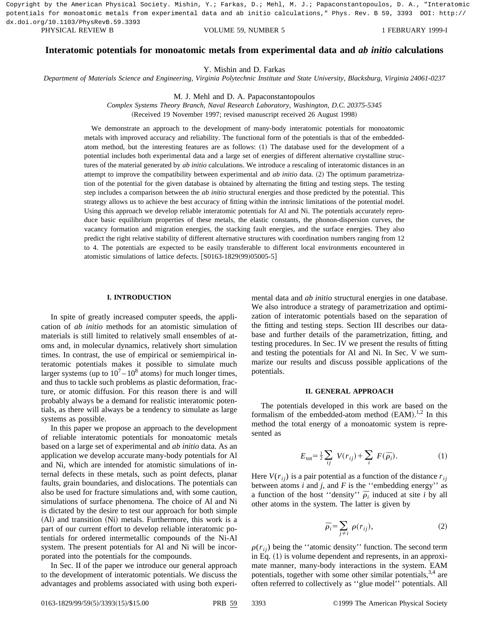PHYSICAL REVIEW B VOLUME 59, NUMBER 5 1 FEBRUARY 1999-I Copyright by the American Physical Society. Mishin, Y.; Farkas, D.; Mehl, M. J.; Papaconstantopoulos, D. A., "Interatomic potentials for monoatomic metals from experimental data and ab initio calculations," Phys. Rev. B 59, 3393 DOI: http:// dx.doi.org/10.1103/PhysRevB.59.3393

# **Interatomic potentials for monoatomic metals from experimental data and** *ab initio* **calculations**

Y. Mishin and D. Farkas

*Department of Materials Science and Engineering, Virginia Polytechnic Institute and State University, Blacksburg, Virginia 24061-0237*

M. J. Mehl and D. A. Papaconstantopoulos

*Complex Systems Theory Branch, Naval Research Laboratory, Washington, D.C. 20375-5345* (Received 19 November 1997; revised manuscript received 26 August 1998)

We demonstrate an approach to the development of many-body interatomic potentials for monoatomic metals with improved accuracy and reliability. The functional form of the potentials is that of the embeddedatom method, but the interesting features are as follows:  $(1)$  The database used for the development of a potential includes both experimental data and a large set of energies of different alternative crystalline structures of the material generated by *ab initio* calculations. We introduce a rescaling of interatomic distances in an attempt to improve the compatibility between experimental and *ab initio* data. (2) The optimum parametrization of the potential for the given database is obtained by alternating the fitting and testing steps. The testing step includes a comparison between the *ab initio* structural energies and those predicted by the potential. This strategy allows us to achieve the best accuracy of fitting within the intrinsic limitations of the potential model. Using this approach we develop reliable interatomic potentials for Al and Ni. The potentials accurately reproduce basic equilibrium properties of these metals, the elastic constants, the phonon-dispersion curves, the vacancy formation and migration energies, the stacking fault energies, and the surface energies. They also predict the right relative stability of different alternative structures with coordination numbers ranging from 12 to 4. The potentials are expected to be easily transferable to different local environments encountered in atomistic simulations of lattice defects.  $[$0163-1829(99)05005-5]$ 

### **I. INTRODUCTION**

In spite of greatly increased computer speeds, the application of *ab initio* methods for an atomistic simulation of materials is still limited to relatively small ensembles of atoms and, in molecular dynamics, relatively short simulation times. In contrast, the use of empirical or semiempirical interatomic potentials makes it possible to simulate much larger systems (up to  $10^7 - 10^8$  atoms) for much longer times, and thus to tackle such problems as plastic deformation, fracture, or atomic diffusion. For this reason there is and will probably always be a demand for realistic interatomic potentials, as there will always be a tendency to simulate as large systems as possible.

In this paper we propose an approach to the development of reliable interatomic potentials for monoatomic metals based on a large set of experimental and *ab initio* data. As an application we develop accurate many-body potentials for Al and Ni, which are intended for atomistic simulations of internal defects in these metals, such as point defects, planar faults, grain boundaries, and dislocations. The potentials can also be used for fracture simulations and, with some caution, simulations of surface phenomena. The choice of Al and Ni is dictated by the desire to test our approach for both simple  $(A)$  and transition  $(Ni)$  metals. Furthermore, this work is a part of our current effort to develop reliable interatomic potentials for ordered intermetallic compounds of the Ni-Al system. The present potentials for Al and Ni will be incorporated into the potentials for the compounds.

In Sec. II of the paper we introduce our general approach to the development of interatomic potentials. We discuss the advantages and problems associated with using both experimental data and *ab initio* structural energies in one database. We also introduce a strategy of parametrization and optimization of interatomic potentials based on the separation of the fitting and testing steps. Section III describes our database and further details of the parametrization, fitting, and testing procedures. In Sec. IV we present the results of fitting and testing the potentials for Al and Ni. In Sec. V we summarize our results and discuss possible applications of the potentials.

#### **II. GENERAL APPROACH**

The potentials developed in this work are based on the formalism of the embedded-atom method  $(EAM).<sup>1,2</sup>$  In this method the total energy of a monoatomic system is represented as

$$
E_{\text{tot}} = \frac{1}{2} \sum_{ij} V(r_{ij}) + \sum_{i} F(\bar{\rho}_i). \tag{1}
$$

Here  $V(r_{ii})$  is a pair potential as a function of the distance  $r_{ii}$ between atoms *i* and *j*, and *F* is the ''embedding energy'' as a function of the host "density"  $\overline{\rho}_i$  induced at site *i* by all other atoms in the system. The latter is given by

$$
\bar{\rho}_i = \sum_{j \neq i} \rho(r_{ij}),\tag{2}
$$

 $\rho(r_{ij})$  being the "atomic density" function. The second term in Eq.  $(1)$  is volume dependent and represents, in an approximate manner, many-body interactions in the system. EAM potentials, together with some other similar potentials,  $3,4$  are often referred to collectively as ''glue model'' potentials. All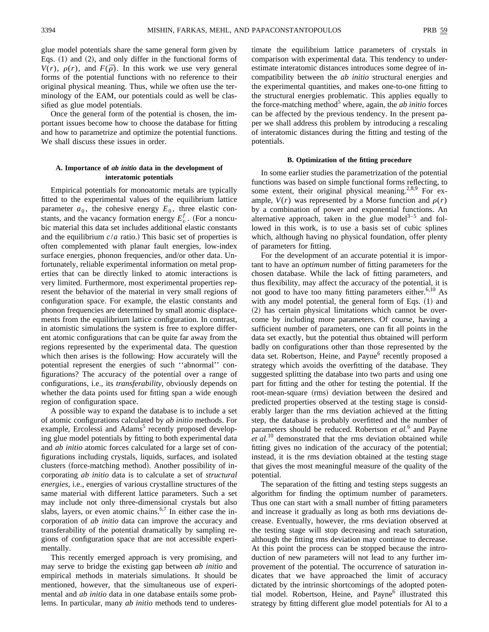glue model potentials share the same general form given by Eqs.  $(1)$  and  $(2)$ , and only differ in the functional forms of  $V(r)$ ,  $\rho(r)$ , and  $F(\bar{\rho})$ . In this work we use very general forms of the potential functions with no reference to their original physical meaning. Thus, while we often use the terminology of the EAM, our potentials could as well be classified as glue model potentials.

Once the general form of the potential is chosen, the important issues become how to choose the database for fitting and how to parametrize and optimize the potential functions. We shall discuss these issues in order.

## **A. Importance of** *ab initio* **data in the development of interatomic potentials**

Empirical potentials for monoatomic metals are typically fitted to the experimental values of the equilibrium lattice parameter  $a_0$ , the cohesive energy  $E_0$ , three elastic constants, and the vacancy formation energy  $E_v^f$ . (For a noncubic material this data set includes additional elastic constants and the equilibrium  $c/a$  ratio.) This basic set of properties is often complemented with planar fault energies, low-index surface energies, phonon frequencies, and/or other data. Unfortunately, reliable experimental information on metal properties that can be directly linked to atomic interactions is very limited. Furthermore, most experimental properties represent the behavior of the material in very small regions of configuration space. For example, the elastic constants and phonon frequencies are determined by small atomic displacements from the equilibrium lattice configuration. In contrast, in atomistic simulations the system is free to explore different atomic configurations that can be quite far away from the regions represented by the experimental data. The question which then arises is the following: How accurately will the potential represent the energies of such ''abnormal'' configurations? The accuracy of the potential over a range of configurations, i.e., its *transferability*, obviously depends on whether the data points used for fitting span a wide enough region of configuration space.

A possible way to expand the database is to include a set of atomic configurations calculated by *ab initio* methods. For example, Ercolessi and Adams<sup>5</sup> recently proposed developing glue model potentials by fitting to both experimental data and *ab initio* atomic forces calculated for a large set of configurations including crystals, liquids, surfaces, and isolated clusters (force-matching method). Another possibility of incorporating *ab initio* data is to calculate a set of *structural energies*, i.e., energies of various crystalline structures of the same material with different lattice parameters. Such a set may include not only three-dimensional crystals but also slabs, layers, or even atomic chains.<sup>6,7</sup> In either case the incorporation of *ab initio* data can improve the accuracy and transferability of the potential dramatically by sampling regions of configuration space that are not accessible experimentally.

This recently emerged approach is very promising, and may serve to bridge the existing gap between *ab initio* and empirical methods in materials simulations. It should be mentioned, however, that the simultaneous use of experimental and *ab initio* data in one database entails some problems. In particular, many *ab initio* methods tend to underestimate the equilibrium lattice parameters of crystals in comparison with experimental data. This tendency to underestimate interatomic distances introduces some degree of incompatibility between the *ab initio* structural energies and the experimental quantities, and makes one-to-one fitting to the structural energies problematic. This applies equally to the force-matching method<sup>5</sup> where, again, the *ab initio* forces can be affected by the previous tendency. In the present paper we shall address this problem by introducing a rescaling of interatomic distances during the fitting and testing of the potentials.

#### **B. Optimization of the fitting procedure**

In some earlier studies the parametrization of the potential functions was based on simple functional forms reflecting, to some extent, their original physical meaning.<sup>2,8,9</sup> For example,  $V(r)$  was represented by a Morse function and  $\rho(r)$ by a combination of power and exponential functions. An alternative approach, taken in the glue model<sup>3–5</sup> and followed in this work, is to use a basis set of cubic splines which, although having no physical foundation, offer plenty of parameters for fitting.

For the development of an accurate potential it is important to have an *optimum* number of fitting parameters for the chosen database. While the lack of fitting parameters, and thus flexibility, may affect the accuracy of the potential, it is not good to have too many fitting parameters either. $6,10$  As with any model potential, the general form of Eqs.  $(1)$  and (2) has certain physical limitations which cannot be overcome by including more parameters. Of course, having a sufficient number of parameters, one can fit all points in the data set exactly, but the potential thus obtained will perform badly on configurations other than those represented by the data set. Robertson, Heine, and Payne<sup>6</sup> recently proposed a strategy which avoids the overfitting of the database. They suggested splitting the database into two parts and using one part for fitting and the other for testing the potential. If the root-mean-square (rms) deviation between the desired and predicted properties observed at the testing stage is considerably larger than the rms deviation achieved at the fitting step, the database is probably overfitted and the number of parameters should be reduced. Robertson *et al.*<sup>6</sup> and Payne *et al.*<sup>10</sup> demonstrated that the rms deviation obtained while fitting gives no indication of the accuracy of the potential; instead, it is the rms deviation obtained at the testing stage that gives the most meaningful measure of the quality of the potential.

The separation of the fitting and testing steps suggests an algorithm for finding the optimum number of parameters. Thus one can start with a small number of fitting parameters and increase it gradually as long as both rms deviations decrease. Eventually, however, the rms deviation observed at the testing stage will stop decreasing and reach saturation, although the fitting rms deviation may continue to decrease. At this point the process can be stopped because the introduction of new parameters will not lead to any further improvement of the potential. The occurrence of saturation indicates that we have approached the limit of accuracy dictated by the intrinsic shortcomings of the adopted potential model. Robertson, Heine, and Payne<sup>6</sup> illustrated this strategy by fitting different glue model potentials for Al to a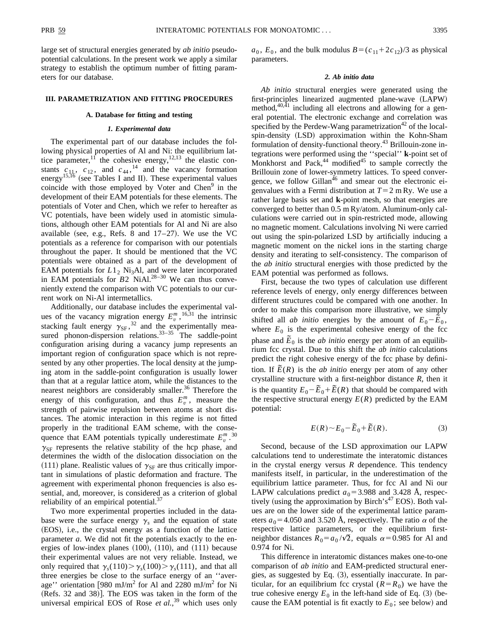large set of structural energies generated by *ab initio* pseudopotential calculations. In the present work we apply a similar strategy to establish the optimum number of fitting parameters for our database.

#### **III. PARAMETRIZATION AND FITTING PROCEDURES**

#### **A. Database for fitting and testing**

### *1. Experimental data*

The experimental part of our database includes the following physical properties of Al and Ni: the equilibrium lattice parameter,<sup>11</sup> the cohesive energy,<sup>12,13</sup> the elastic constants  $c_{11}$ ,  $c_{12}$ , and  $c_{44}$ , <sup>14</sup> and the vacancy formation energy<sup>15,16</sup> (see Tables I and II). These experimental values coincide with those employed by Voter and Chen<sup>9</sup> in the development of their EAM potentials for these elements. The potentials of Voter and Chen, which we refer to hereafter as VC potentials, have been widely used in atomistic simulations, although other EAM potentials for Al and Ni are also available (see, e.g., Refs. 8 and  $17-27$ ). We use the VC potentials as a reference for comparison with our potentials throughout the paper. It should be mentioned that the VC potentials were obtained as a part of the development of EAM potentials for  $L1_2$  Ni<sub>3</sub>Al, and were later incorporated in EAM potentials for  $B2$  NiAl.<sup>28–30</sup> We can thus conveniently extend the comparison with VC potentials to our current work on Ni-Al intermetallics.

Additionally, our database includes the experimental values of the vacancy migration energy  $E_v^m$ , <sup>16,31</sup> the intrinsic stacking fault energy  $\gamma_{\rm SF}$ ,<sup>32</sup> and the experimentally measured phonon-dispersion relations.  $33-35$  The saddle-point configuration arising during a vacancy jump represents an important region of configuration space which is not represented by any other properties. The local density at the jumping atom in the saddle-point configuration is usually lower than that at a regular lattice atom, while the distances to the nearest neighbors are considerably smaller.<sup>36</sup> Therefore the energy of this configuration, and thus  $E_v^m$ , measure the strength of pairwise repulsion between atoms at short distances. The atomic interaction in this regime is not fitted properly in the traditional EAM scheme, with the consequence that EAM potentials typically underestimate  $E_v^m$ .<sup>30</sup>  $\gamma_{SF}$  represents the relative stability of the hcp phase, and determines the width of the dislocation dissociation on the (111) plane. Realistic values of  $\gamma_{\rm SF}$  are thus critically important in simulations of plastic deformation and fracture. The agreement with experimental phonon frequencies is also essential, and, moreover, is considered as a criterion of global reliability of an empirical potential. $37$ 

Two more experimental properties included in the database were the surface energy  $\gamma_s$  and the equation of state (EOS), i.e., the crystal energy as a function of the lattice parameter *a*. We did not fit the potentials exactly to the energies of low-index planes  $(100)$ ,  $(110)$ , and  $(111)$  because their experimental values are not very reliable. Instead, we only required that  $\gamma_s(110) > \gamma_s(100) > \gamma_s(111)$ , and that all three energies be close to the surface energy of an ''average'' orientation [980 mJ/m<sup>2</sup> for Al and 2280 mJ/m<sup>2</sup> for Ni (Refs. 32 and 38)]. The EOS was taken in the form of the universal empirical EOS of Rose *et al.*, <sup>39</sup> which uses only  $a_0$ ,  $E_0$ , and the bulk modulus  $B = (c_{11} + 2c_{12})/3$  as physical parameters.

### *2. Ab initio data*

*Ab initio* structural energies were generated using the first-principles linearized augmented plane-wave (LAPW) method, $40,41$  including all electrons and allowing for a general potential. The electronic exchange and correlation was specified by the Perdew-Wang parametrization<sup>42</sup> of the localspin-density (LSD) approximation within the Kohn-Sham formulation of density-functional theory.<sup>43</sup> Brillouin-zone integrations were performed using the ''special'' **k**-point set of Monkhorst and Pack, $44 \text{ modified}^{45}$  to sample correctly the Brillouin zone of lower-symmetry lattices. To speed convergence, we follow  $Gillan<sup>46</sup>$  and smear out the electronic eigenvalues with a Fermi distribution at  $T=2$  m Ry. We use a rather large basis set and **k**-point mesh, so that energies are converged to better than 0.5 m Ry/atom. Aluminum-only calculations were carried out in spin-restricted mode, allowing no magnetic moment. Calculations involving Ni were carried out using the spin-polarized LSD by artificially inducing a magnetic moment on the nickel ions in the starting charge density and iterating to self-consistency. The comparison of the *ab initio* structural energies with those predicted by the EAM potential was performed as follows.

First, because the two types of calculation use different reference levels of energy, only energy differences between different structures could be compared with one another. In order to make this comparison more illustrative, we simply shifted all *ab initio* energies by the amount of  $E_0 - \tilde{E}_0$ , where  $E_0$  is the experimental cohesive energy of the fcc phase and  $\tilde{E}_0$  is the *ab initio* energy per atom of an equilibrium fcc crystal. Due to this shift the *ab initio* calculations predict the right cohesive energy of the fcc phase by definition. If  $\tilde{E}(R)$  is the *ab initio* energy per atom of any other crystalline structure with a first-neighbor distance *R*, then it is the quantity  $E_0 - \tilde{E}_0 + \tilde{E}(R)$  that should be compared with the respective structural energy  $E(R)$  predicted by the EAM potential:

$$
E(R) \sim E_0 - \tilde{E}_0 + \tilde{E}(R). \tag{3}
$$

Second, because of the LSD approximation our LAPW calculations tend to underestimate the interatomic distances in the crystal energy versus *R* dependence. This tendency manifests itself, in particular, in the underestimation of the equilibrium lattice parameter. Thus, for fcc Al and Ni our LAPW calculations predict  $a_0$ =3.988 and 3.428 Å, respectively (using the approximation by Birch's $47$  EOS). Both values are on the lower side of the experimental lattice parameters  $a_0$ =4.050 and 3.520 Å, respectively. The ratio  $\alpha$  of the respective lattice parameters, or the equilibrium firstneighbor distances  $R_0 = a_0 / \sqrt{2}$ , equals  $\alpha = 0.985$  for Al and 0.974 for Ni.

This difference in interatomic distances makes one-to-one comparison of *ab initio* and EAM-predicted structural energies, as suggested by Eq.  $(3)$ , essentially inaccurate. In particular, for an equilibrium fcc crystal  $(R = R_0)$  we have the true cohesive energy  $E_0$  in the left-hand side of Eq.  $(3)$  (because the EAM potential is fit exactly to  $E_0$ ; see below) and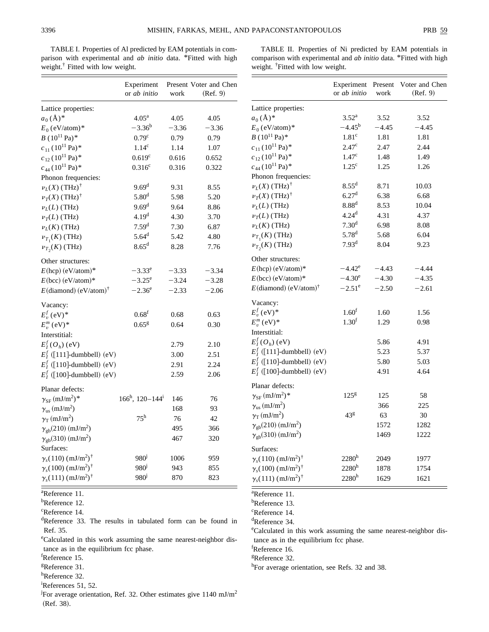$(Ref. 9)$ 

TABLE I. Properties of Al predicted by EAM potentials in comparison with experimental and *ab initio* data. \*Fitted with high weight.<sup>†</sup> Fitted with low weight.

TABLE II. Properties of Ni predicted by EAM potentials in comparison with experimental and *ab initio* data. \*Fitted with high weight. † Fitted with low weight.

or *ab initio*

Experiment Present Voter and Chen

work

|                                                   | Experiment<br>or ab initio | work    | Present Voter and Chen<br>(Ref. 9) |  |
|---------------------------------------------------|----------------------------|---------|------------------------------------|--|
| Lattice properties:                               |                            |         |                                    |  |
| $a_0(\AA)^*$                                      | 4.05 <sup>a</sup>          | 4.05    | 4.05                               |  |
| $E_0$ (eV/atom) <sup>*</sup>                      | $-3.36^b$                  | $-3.36$ | $-3.36$                            |  |
| $B(10^{11} \text{ Pa})^*$                         | 0.79 <sup>c</sup>          | 0.79    | 0.79                               |  |
| $c_{11}$ (10 <sup>11</sup> Pa) <sup>*</sup>       | 1.14 <sup>c</sup>          | 1.14    | 1.07                               |  |
| $c_{12}$ (10 <sup>11</sup> Pa) <sup>*</sup>       | 0.619 <sup>c</sup>         | 0.616   | 0.652                              |  |
| $c_{44}$ (10 <sup>11</sup> Pa)*                   | 0.316 <sup>c</sup>         | 0.316   | 0.322                              |  |
| Phonon frequencies:                               |                            |         |                                    |  |
| $\nu_L(X)$ (THz) <sup>†</sup>                     | 9.69 <sup>d</sup>          | 9.31    | 8.55                               |  |
| $\nu_T(X)$ (THz) <sup>†</sup>                     | 5.80 <sup>d</sup>          | 5.98    | 5.20                               |  |
| $\nu_L(L)$ (THz)                                  | 9.69 <sup>d</sup>          | 9.64    | 8.86                               |  |
| $\nu_T(L)$ (THz)                                  | 4.19 <sup>d</sup>          | 4.30    | 3.70                               |  |
| $\nu_L(K)$ (THz)                                  | 7.59 <sup>d</sup>          | 7.30    | 6.87                               |  |
| $\nu_{T_1}(K)$ (THz)                              | $5.64^d$                   | 5.42    | 4.80                               |  |
| $\nu_{T_2}(K)$ (THz)                              | $8.65^{\rm d}$             | 8.28    | 7.76                               |  |
| Other structures:                                 |                            |         |                                    |  |
| $E(hcp)$ (eV/atom)*                               | $-3.33^e$                  | $-3.33$ | $-3.34$                            |  |
| $E(bcc)$ (eV/atom)*                               | $-3.25^{\rm e}$            | $-3.24$ | $-3.28$                            |  |
| $E$ (diamond) (eV/atom) <sup>†</sup>              | $-2.36^e$                  | $-2.33$ | $-2.06$                            |  |
| Vacancy:                                          |                            |         |                                    |  |
| $E_n^f$ (eV) <sup>*</sup>                         | 0.68 <sup>f</sup>          | 0.68    | 0.63                               |  |
| $E_{n}^{m}$ (eV) <sup>*</sup>                     | 0.65 <sup>g</sup>          | 0.64    | 0.30                               |  |
| Interstitial:                                     |                            |         |                                    |  |
| $E_I^f(O_h)$ (eV)                                 |                            | 2.79    | 2.10                               |  |
| $E_1^f$ ([111]-dumbbell) (eV)                     |                            | 3.00    | 2.51                               |  |
| $E_I^f$ ([110]-dumbbell) (eV)                     |                            | 2.91    | 2.24                               |  |
| $E_1^f$ ([100]-dumbbell) (eV)                     |                            | 2.59    | 2.06                               |  |
| Planar defects:                                   |                            |         |                                    |  |
| $\gamma_{\rm SF}\,(\rm mJ/m^2)^*$                 | $166^h$ , $120-144^i$      | 146     | 76                                 |  |
| $\gamma_{\rm us}\,(\rm mJ/m^2)$                   |                            | 168     | 93                                 |  |
| $\gamma$ <sub>T</sub> (mJ/m <sup>2</sup> )        | $75^{\rm h}$               | 76      | 42                                 |  |
| $\gamma_{\text{gb}}(210)$ (mJ/m <sup>2</sup> )    |                            | 495     | 366                                |  |
| $\gamma_{\text{gb}}(310)$ (mJ/m <sup>2</sup> )    |                            | 467     | 320                                |  |
| Surfaces:                                         |                            |         |                                    |  |
| $\gamma_s(110)$ (mJ/m <sup>2</sup> ) <sup>†</sup> | 980 <sup>j</sup>           | 1006    | 959                                |  |
| $\gamma_s(100)$ (mJ/m <sup>2</sup> ) <sup>†</sup> | 980 <sup>j</sup>           | 943     | 855                                |  |
| $\gamma_s(111)$ (mJ/m <sup>2</sup> ) <sup>†</sup> | 980 <sup>1</sup>           | 870     | 823                                |  |

a Reference 11.

<sup>b</sup>Reference 12.

<sup>d</sup>Reference 33. The results in tabulated form can be found in Ref. 35.

e Calculated in this work assuming the same nearest-neighbor distance as in the equilibrium fcc phase.

- f Reference 15.
- <sup>g</sup>Reference 31.
- hReference 32.

i References 51, 52.

<sup>j</sup>For average orientation, Ref. 32. Other estimates give 1140 mJ/m<sup>2</sup> (Ref. 38).

| Lattice properties:                               |                   |         |         |
|---------------------------------------------------|-------------------|---------|---------|
| $a_0(\AA)^*$                                      | $3.52^{\rm a}$    | 3.52    | 3.52    |
| $E_0$ (eV/atom) <sup>*</sup>                      | $-4.45^{\rm b}$   | $-4.45$ | $-4.45$ |
| $B(10^{11} \text{ Pa})^*$                         | 1.81 <sup>c</sup> | 1.81    | 1.81    |
| $c_{11}$ (10 <sup>11</sup> Pa) <sup>*</sup>       | 2.47 <sup>c</sup> | 2.47    | 2.44    |
| $c_{12}$ (10 <sup>11</sup> Pa)*                   | 1.47 <sup>c</sup> | 1.48    | 1.49    |
| $c_{44}$ (10 <sup>11</sup> Pa) <sup>*</sup>       | $1.25^{\circ}$    | 1.25    | 1.26    |
| Phonon frequencies:                               |                   |         |         |
| $\nu_L(X)$ (THz) <sup>†</sup>                     | $8.55^d$          | 8.71    | 10.03   |
| $\nu_T(X)$ (THz) <sup>†</sup>                     | 6.27 <sup>d</sup> | 6.38    | 6.68    |
| $\nu_L(L)$ (THz)                                  | 8.88 <sup>d</sup> | 8.53    | 10.04   |
| $\nu_T(L)$ (THz)                                  | $4.24^{d}$        | 4.31    | 4.37    |
| $\nu_L(K)$ (THz)                                  | 7.30 <sup>d</sup> | 6.98    | 8.08    |
| $\nu_{T_1}(K)$ (THz)                              | $5.78^{d}$        | 5.68    | 6.04    |
| $\nu_{T_2}(K)$ (THz)                              | 7.93 <sup>d</sup> | 8.04    | 9.23    |
| Other structures:                                 |                   |         |         |
| $E(hcp)$ (eV/atom)*                               | $-4.42^e$         | $-4.43$ | $-4.44$ |
| $E(bcc)$ (eV/atom)*                               | $-4.30^e$         | $-4.30$ | $-4.35$ |
| $E$ (diamond) (eV/atom) <sup>†</sup>              | $-2.51^{\circ}$   | $-2.50$ | $-2.61$ |
| Vacancy:                                          |                   |         |         |
| $E_v^f$ (eV)*                                     | 1.60 <sup>f</sup> | 1.60    | 1.56    |
| $E_v^m$ (eV) <sup>*</sup>                         | 1.30 <sup>f</sup> | 1.29    | 0.98    |
| Interstitial:                                     |                   |         |         |
| $E_I^f(O_h)$ (eV)                                 |                   | 5.86    | 4.91    |
| $E_1^f$ ([111]-dumbbell) (eV)                     |                   | 5.23    | 5.37    |
| $E_1^f$ ([110]-dumbbell) (eV)                     |                   | 5.80    | 5.03    |
| $E_1^f$ ([100]-dumbbell) (eV)                     |                   | 4.91    | 4.64    |
| Planar defects:                                   |                   |         |         |
| $\gamma_{\rm SF}$ (mJ/m <sup>2</sup> )*           | $12.5^{g}$        | 125     | 58      |
| $\gamma_{us}\ (mJ/m^2)$                           |                   | 366     | 225     |
| $\gamma_T$ (mJ/m <sup>2</sup> )                   | 43g               | 63      | 30      |
| $\gamma_{\text{gb}}(210)$ (mJ/m <sup>2</sup> )    |                   | 1572    | 1282    |
| $\gamma_{\text{gb}}(310)$ (mJ/m <sup>2</sup> )    |                   | 1469    | 1222    |
| Surfaces:                                         |                   |         |         |
| $\gamma_s(110)$ (mJ/m <sup>2</sup> ) <sup>†</sup> | $2280^h$          | 2049    | 1977    |
|                                                   |                   |         |         |
| $\gamma_s(100)$ (mJ/m <sup>2</sup> ) <sup>†</sup> | $2280^h$          | 1878    | 1754    |

a Reference 11.

<sup>b</sup>Reference 13.

c Reference 14.

d Reference 34.

e Calculated in this work assuming the same nearest-neighbor distance as in the equilibrium fcc phase.

f Reference 16.

g Reference 32.

<sup>h</sup>For average orientation, see Refs. 32 and 38.

c Reference 14.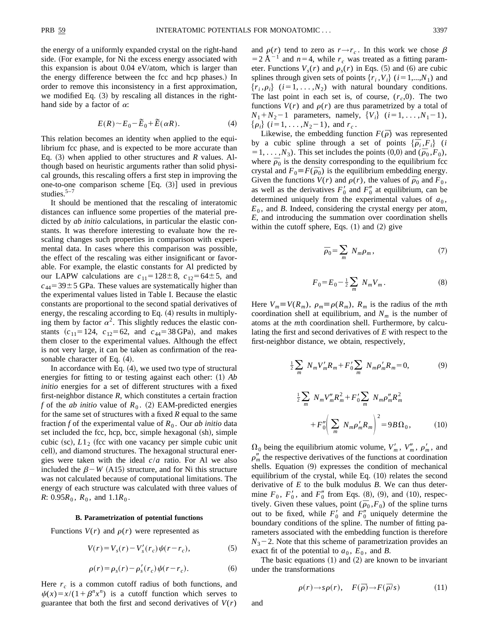the energy of a uniformly expanded crystal on the right-hand side. (For example, for Ni the excess energy associated with this expansion is about 0.04 eV/atom, which is larger than the energy difference between the fcc and hcp phases.) In order to remove this inconsistency in a first approximation, we modified Eq.  $(3)$  by rescaling all distances in the righthand side by a factor of  $\alpha$ :

$$
E(R) \sim E_0 - \tilde{E}_0 + \tilde{E}(\alpha R). \tag{4}
$$

This relation becomes an identity when applied to the equilibrium fcc phase, and is expected to be more accurate than Eq.  $(3)$  when applied to other structures and *R* values. Although based on heuristic arguments rather than solid physical grounds, this rescaling offers a first step in improving the one-to-one comparison scheme  $[Eq. (3)]$  used in previous studies. $5-7$ 

It should be mentioned that the rescaling of interatomic distances can influence some properties of the material predicted by *ab initio* calculations, in particular the elastic constants. It was therefore interesting to evaluate how the rescaling changes such properties in comparison with experimental data. In cases where this comparison was possible, the effect of the rescaling was either insignificant or favorable. For example, the elastic constants for Al predicted by our LAPW calculations are  $c_{11} = 128 \pm 8$ ,  $c_{12} = 64 \pm 5$ , and  $c_{44}$ =39 $\pm$ 5 GPa. These values are systematically higher than the experimental values listed in Table I. Because the elastic constants are proportional to the second spatial derivatives of energy, the rescaling according to Eq.  $(4)$  results in multiplying them by factor  $\alpha^2$ . This slightly reduces the elastic constants  $(c_{11}=124, c_{12}=62, \text{ and } c_{44}=38 \text{ GPa})$ , and makes them closer to the experimental values. Although the effect is not very large, it can be taken as confirmation of the reasonable character of Eq.  $(4)$ .

In accordance with Eq.  $(4)$ , we used two type of structural energies for fitting to or testing against each other: (1) *Ab initio* energies for a set of different structures with a fixed first-neighbor distance *R*, which constitutes a certain fraction *f* of the *ab initio* value of  $R_0$ . (2) EAM-predicted energies for the same set of structures with a fixed *R* equal to the same fraction  $f$  of the experimental value of  $R_0$ . Our *ab initio* data set included the fcc, hcp, bcc, simple hexagonal (sh), simple cubic (sc),  $L1_2$  (fcc with one vacancy per simple cubic unit cell), and diamond structures. The hexagonal structural energies were taken with the ideal *c*/*a* ratio. For Al we also included the  $\beta$ <sup>-</sup>*W* (A15) structure, and for Ni this structure was not calculated because of computational limitations. The energy of each structure was calculated with three values of *R*:  $0.95R_0$ ,  $R_0$ , and  $1.1R_0$ .

#### **B. Parametrization of potential functions**

Functions  $V(r)$  and  $\rho(r)$  were represented as

$$
V(r) = V_s(r) - V'_s(r_c)\psi(r - r_c),
$$
 (5)

$$
\rho(r) = \rho_s(r) - \rho'_s(r_c)\psi(r - r_c). \tag{6}
$$

Here  $r_c$  is a common cutoff radius of both functions, and  $\psi(x) = x/(1 + \beta^n x^n)$  is a cutoff function which serves to guarantee that both the first and second derivatives of  $V(r)$ 

and  $\rho(r)$  tend to zero as  $r \rightarrow r_c$ . In this work we chose  $\beta$  $=2$  Å<sup>-1</sup> and *n*=4, while  $r_c$  was treated as a fitting parameter. Functions  $V_s(r)$  and  $\rho_s(r)$  in Eqs. (5) and (6) are cubic splines through given sets of points  $\{r_i, V_i\}$  ( $i=1,...,N_1$ ) and  ${r_i, \rho_i}$  (*i*=1, . . . , *N*<sub>2</sub>) with natural boundary conditions. The last point in each set is, of course,  $(r_c, 0)$ . The two functions  $V(r)$  and  $\rho(r)$  are thus parametrized by a total of  $N_1 + N_2 - 1$  parameters, namely,  $\{V_i\}$   $(i = 1, ..., N_1 - 1)$ ,  $\{\rho_i\}$  (*i*=1, . . . , *N*<sub>2</sub>-1), and *r*<sub>*c*</sub>.

Likewise, the embedding function  $F(\bar{p})$  was represented by a cubic spline through a set of points  $\{\bar{p}_i, F_i\}$  (*i*  $=$  1, . . . , *N*<sub>3</sub>). This set includes the points (0,0) and ( $\bar{p}_0$ ,  $F_0$ ), where  $\bar{p}_0$  is the density corresponding to the equilibrium fcc crystal and  $F_0 \equiv F(\bar{p}_0)$  is the equilibrium embedding energy. Given the functions  $V(r)$  and  $\rho(r)$ , the values of  $\bar{\rho}_0$  and  $F_0$ , as well as the derivatives  $F'_0$  and  $F''_0$  at equilibrium, can be determined uniquely from the experimental values of  $a_0$ ,  $E_0$ , and *B*. Indeed, considering the crystal energy per atom, *E*, and introducing the summation over coordination shells within the cutoff sphere, Eqs.  $(1)$  and  $(2)$  give

$$
\bar{\rho}_0 = \sum_m N_m \rho_m, \qquad (7)
$$

$$
F_0 = E_0 - \frac{1}{2} \sum_m N_m V_m \,. \tag{8}
$$

Here  $V_m \equiv V(R_m)$ ,  $\rho_m \equiv \rho(R_m)$ ,  $R_m$  is the radius of the *m*th coordination shell at equilibrium, and  $N_m$  is the number of atoms at the *m*th coordination shell. Furthermore, by calculating the first and second derivatives of *E* with respect to the first-neighbor distance, we obtain, respectively,

$$
\frac{1}{2} \sum_{m} N_{m} V'_{m} R_{m} + F'_{0} \sum_{m} N_{m} \rho'_{m} R_{m} = 0, \qquad (9)
$$

$$
\frac{1}{2} \sum_{m} N_{m} V_{m}'' R_{m}^{2} + F_{0}' \sum_{m} N_{m} \rho_{m}'' R_{m}^{2} + F_{0}'' \left( \sum_{m} N_{m} \rho_{m}' R_{m} \right)^{2} = 9B \Omega_{0}, \qquad (10)
$$

 $\Omega_0$  being the equilibrium atomic volume,  $V'_m$ ,  $V''_m$ ,  $\rho'_m$ , and  $\rho''_m$  the respective derivatives of the functions at coordination shells. Equation (9) expresses the condition of mechanical equilibrium of the crystal, while Eq.  $(10)$  relates the second derivative of *E* to the bulk modulus *B*. We can thus determine  $F_0$ ,  $F'_0$ , and  $F''_0$  from Eqs. (8), (9), and (10), respectively. Given these values, point  $(\bar{\rho}_0, F_0)$  of the spline turns out to be fixed, while  $F'_0$  and  $F''_0$  uniquely determine the boundary conditions of the spline. The number of fitting parameters associated with the embedding function is therefore  $N_3$ –2. Note that this scheme of parametrization provides an exact fit of the potential to  $a_0$ ,  $E_0$ , and *B*.

The basic equations  $(1)$  and  $(2)$  are known to be invariant under the transformations

$$
\rho(r) \to s\rho(r), \quad F(\bar{\rho}) \to F(\bar{\rho}/s) \tag{11}
$$

and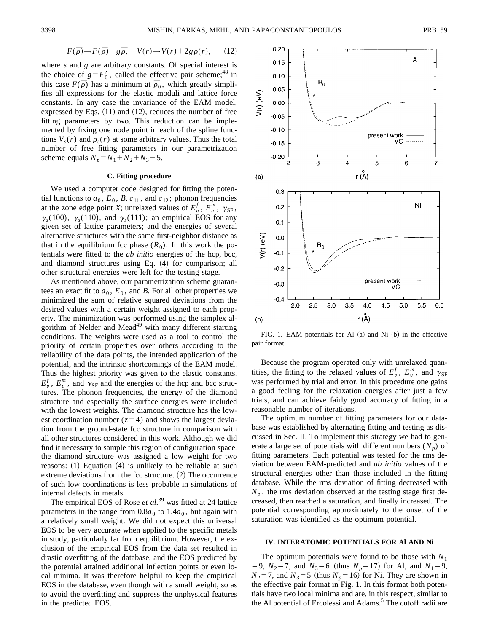$$
F(\bar{\rho}) \to F(\bar{\rho}) - g\bar{\rho}, \quad V(r) \to V(r) + 2g\rho(r), \quad (12)
$$

where *s* and *g* are arbitrary constants. Of special interest is the choice of  $g = F_0'$ , called the effective pair scheme;<sup>48</sup> in this case  $F(\bar{\rho})$  has a minimum at  $\bar{p}_0$ , which greatly simplifies all expressions for the elastic moduli and lattice force constants. In any case the invariance of the EAM model, expressed by Eqs.  $(11)$  and  $(12)$ , reduces the number of free fitting parameters by two. This reduction can be implemented by fixing one node point in each of the spline functions  $V_s(r)$  and  $\rho_s(r)$  at some arbitrary values. Thus the total number of free fitting parameters in our parametrization scheme equals  $N_p = N_1 + N_2 + N_3 - 5$ .

## **C. Fitting procedure**

We used a computer code designed for fitting the potential functions to  $a_0$ ,  $E_0$ ,  $B$ ,  $c_{11}$ , and  $c_{12}$ ; phonon frequencies at the zone edge point *X*; unrelaxed values of  $E_v^f$ ,  $E_v^m$ ,  $\gamma_{SF}$ ,  $\gamma_s(100)$ ,  $\gamma_s(110)$ , and  $\gamma_s(111)$ ; an empirical EOS for any given set of lattice parameters; and the energies of several alternative structures with the same first-neighbor distance as that in the equilibrium fcc phase  $(R_0)$ . In this work the potentials were fitted to the *ab initio* energies of the hcp, bcc, and diamond structures using Eq.  $(4)$  for comparison; all other structural energies were left for the testing stage.

As mentioned above, our parametrization scheme guarantees an exact fit to  $a_0$ ,  $E_0$ , and *B*. For all other properties we minimized the sum of relative squared deviations from the desired values with a certain weight assigned to each property. The minimization was performed using the simplex algorithm of Nelder and Mead<sup>49</sup> with many different starting conditions. The weights were used as a tool to control the priority of certain properties over others according to the reliability of the data points, the intended application of the potential, and the intrinsic shortcomings of the EAM model. Thus the highest priority was given to the elastic constants,  $E_v^f$ ,  $E_v^m$ , and  $\gamma_{SF}$  and the energies of the hcp and bcc structures. The phonon frequencies, the energy of the diamond structure and especially the surface energies were included with the lowest weights. The diamond structure has the lowest coordination number  $(z=4)$  and shows the largest deviation from the ground-state fcc structure in comparison with all other structures considered in this work. Although we did find it necessary to sample this region of configuration space, the diamond structure was assigned a low weight for two reasons:  $(1)$  Equation  $(4)$  is unlikely to be reliable at such extreme deviations from the fcc structure.  $(2)$  The occurrence of such low coordinations is less probable in simulations of internal defects in metals.

The empirical EOS of Rose *et al.*<sup>39</sup> was fitted at 24 lattice parameters in the range from  $0.8a_0$  to  $1.4a_0$ , but again with a relatively small weight. We did not expect this universal EOS to be very accurate when applied to the specific metals in study, particularly far from equilibrium. However, the exclusion of the empirical EOS from the data set resulted in drastic overfitting of the database, and the EOS predicted by the potential attained additional inflection points or even local minima. It was therefore helpful to keep the empirical EOS in the database, even though with a small weight, so as to avoid the overfitting and suppress the unphysical features in the predicted EOS.



FIG. 1. EAM potentials for Al  $(a)$  and Ni  $(b)$  in the effective pair format.

Because the program operated only with unrelaxed quantities, the fitting to the relaxed values of  $E_v^f$ ,  $E_v^m$ , and  $\gamma_{SF}$ was performed by trial and error. In this procedure one gains a good feeling for the relaxation energies after just a few trials, and can achieve fairly good accuracy of fitting in a reasonable number of iterations.

The optimum number of fitting parameters for our database was established by alternating fitting and testing as discussed in Sec. II. To implement this strategy we had to generate a large set of potentials with different numbers  $(N_n)$  of fitting parameters. Each potential was tested for the rms deviation between EAM-predicted and *ab initio* values of the structural energies other than those included in the fitting database. While the rms deviation of fitting decreased with  $N_p$ , the rms deviation observed at the testing stage first decreased, then reached a saturation, and finally increased. The potential corresponding approximately to the onset of the saturation was identified as the optimum potential.

### **IV. INTERATOMIC POTENTIALS FOR Al AND Ni**

The optimum potentials were found to be those with  $N_1$  $=$  9,  $N_2$ =7, and  $N_3$ =6 (thus  $N_p$ =17) for Al, and  $N_1$ =9,  $N_2=7$ , and  $N_3=5$  (thus  $N_p=16$ ) for Ni. They are shown in the effective pair format in Fig. 1. In this format both potentials have two local minima and are, in this respect, similar to the Al potential of Ercolessi and Adams.<sup>5</sup> The cutoff radii are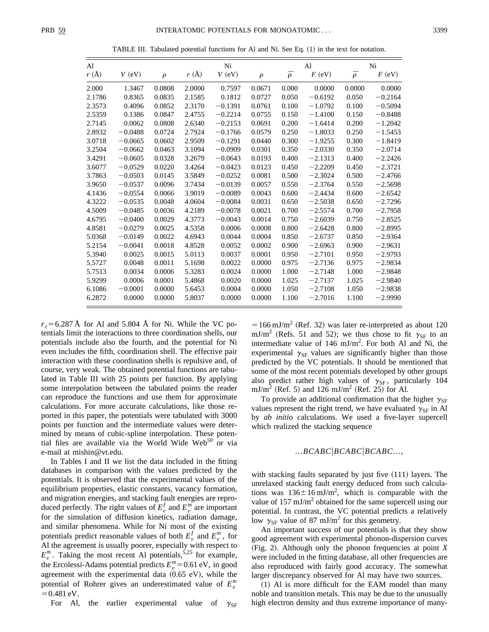TABLE III. Tabulated potential functions for Al and Ni. See Eq.  $(1)$  in the text for notation.

| Al     |           |        |        | Ni        |        | Al           |           | Ni           |           |
|--------|-----------|--------|--------|-----------|--------|--------------|-----------|--------------|-----------|
| r(A)   | $V$ (eV)  | $\rho$ | r(A)   | $V$ (eV)  | $\rho$ | $\bar{\rho}$ | $F$ (eV)  | $\bar{\rho}$ | $F$ (eV)  |
| 2.000  | 1.3467    | 0.0808 | 2.0000 | 0.7597    | 0.0671 | 0.000        | 0.0000    | 0.0000       | 0.0000    |
| 2.1786 | 0.8365    | 0.0835 | 2.1585 | 0.1812    | 0.0727 | 0.050        | $-0.6192$ | 0.050        | $-0.2164$ |
| 2.3573 | 0.4096    | 0.0852 | 2.3170 | $-0.1391$ | 0.0761 | 0.100        | $-1.0792$ | 0.100        | $-0.5094$ |
| 2.5359 | 0.1386    | 0.0847 | 2.4755 | $-0.2214$ | 0.0755 | 0.150        | $-1.4100$ | 0.150        | $-0.8488$ |
| 2.7145 | 0.0062    | 0.0808 | 2.6340 | $-0.2153$ | 0.0691 | 0.200        | $-1.6414$ | 0.200        | $-1.2042$ |
| 2.8932 | $-0.0488$ | 0.0724 | 2.7924 | $-0.1766$ | 0.0579 | 0.250        | $-1.8033$ | 0.250        | $-1.5453$ |
| 3.0718 | $-0.0665$ | 0.0602 | 2.9509 | $-0.1291$ | 0.0440 | 0.300        | $-1.9255$ | 0.300        | $-1.8419$ |
| 3.2504 | $-0.0662$ | 0.0463 | 3.1094 | $-0.0909$ | 0.0301 | 0.350        | $-2.0330$ | 0.350        | $-2.0714$ |
| 3.4291 | $-0.0605$ | 0.0328 | 3.2679 | $-0.0643$ | 0.0193 | 0.400        | $-2.1313$ | 0.400        | $-2.2426$ |
| 3.6077 | $-0.0529$ | 0.0220 | 3.4264 | $-0.0423$ | 0.0123 | 0.450        | $-2.2209$ | 0.450        | $-2.3721$ |
| 3.7863 | $-0.0503$ | 0.0145 | 3.5849 | $-0.0252$ | 0.0081 | 0.500        | $-2.3024$ | 0.500        | $-2.4766$ |
| 3.9650 | $-0.0537$ | 0.0096 | 3.7434 | $-0.0139$ | 0.0057 | 0.550        | $-2.3764$ | 0.550        | $-2.5698$ |
| 4.1436 | $-0.0554$ | 0.0066 | 3.9019 | $-0.0089$ | 0.0043 | 0.600        | $-2.4434$ | 0.600        | $-2.6542$ |
| 4.3222 | $-0.0535$ | 0.0048 | 4.0604 | $-0.0084$ | 0.0031 | 0.650        | $-2.5038$ | 0.650        | $-2.7296$ |
| 4.5009 | $-0.0485$ | 0.0036 | 4.2189 | $-0.0078$ | 0.0021 | 0.700        | $-2.5574$ | 0.700        | $-2.7958$ |
| 4.6795 | $-0.0400$ | 0.0029 | 4.3773 | $-0.0043$ | 0.0014 | 0.750        | $-2.6039$ | 0.750        | $-2.8525$ |
| 4.8581 | $-0.0279$ | 0.0025 | 4.5358 | 0.0006    | 0.0008 | 0.800        | $-2.6428$ | 0.800        | $-2.8995$ |
| 5.0368 | $-0.0149$ | 0.0022 | 4.6943 | 0.0044    | 0.0004 | 0.850        | $-2.6737$ | 0.850        | $-2.9364$ |
| 5.2154 | $-0.0041$ | 0.0018 | 4.8528 | 0.0052    | 0.0002 | 0.900        | $-2.6963$ | 0.900        | $-2.9631$ |
| 5.3940 | 0.0025    | 0.0015 | 5.0113 | 0.0037    | 0.0001 | 0.950        | $-2.7101$ | 0.950        | $-2.9793$ |
| 5.5727 | 0.0048    | 0.0011 | 5.1698 | 0.0022    | 0.0000 | 0.975        | $-2.7136$ | 0.975        | $-2.9834$ |
| 5.7513 | 0.0034    | 0.0006 | 5.3283 | 0.0024    | 0.0000 | 1.000        | $-2.7148$ | 1.000        | $-2.9848$ |
| 5.9299 | 0.0006    | 0.0001 | 5.4868 | 0.0020    | 0.0000 | 1.025        | $-2.7137$ | 1.025        | $-2.9840$ |
| 6.1086 | $-0.0001$ | 0.0000 | 5.6453 | 0.0004    | 0.0000 | 1.050        | $-2.7108$ | 1.050        | $-2.9838$ |
| 6.2872 | 0.0000    | 0.0000 | 5.8037 | 0.0000    | 0.0000 | 1.100        | $-2.7016$ | 1.100        | $-2.9990$ |

 $r_c = 6.287$  Å for Al and 5.804 Å for Ni. While the VC potentials limit the interactions to three coordination shells, our potentials include also the fourth, and the potential for Ni even includes the fifth, coordination shell. The effective pair interaction with these coordination shells is repulsive and, of course, very weak. The obtained potential functions are tabulated in Table III with 25 points per function. By applying some interpolation between the tabulated points the reader can reproduce the functions and use them for approximate calculations. For more accurate calculations, like those reported in this paper, the potentials were tabulated with 3000 points per function and the intermediate values were determined by means of cubic-spline interpolation. These potential files are available via the World Wide Web $50$  or via e-mail at mishin@vt.edu.

In Tables I and II we list the data included in the fitting databases in comparison with the values predicted by the potentials. It is observed that the experimental values of the equilibrium properties, elastic constants, vacancy formation, and migration energies, and stacking fault energies are reproduced perfectly. The right values of  $E_v^f$  and  $E_v^m$  are important for the simulation of diffusion kinetics, radiation damage, and similar phenomena. While for Ni most of the existing potentials predict reasonable values of both  $E_v^f$  and  $E_v^m$ , for Al the agreement is usually poorer, especially with respect to  $E_v^m$ . Taking the most recent Al potentials,<sup>5,25</sup> for example, the Ercolessi-Adams potential predicts  $E_v^m = 0.61$  eV, in good agreement with the experimental data  $(0.65 \text{ eV})$ , while the potential of Rohrer gives an underestimated value of  $E_v^m$  $=0.481$  eV.

For Al, the earlier experimental value of  $\gamma_{\rm SF}$ 

 $=166$  mJ/m<sup>2</sup> (Ref. 32) was later re-interpreted as about 120 mJ/m<sup>2</sup> (Refs. 51 and 52); we thus chose to fit  $\gamma_{SF}$  to an intermediate value of  $146 \text{ mJ/m}^2$ . For both Al and Ni, the experimental  $\gamma_{\rm SF}$  values are significantly higher than those predicted by the VC potentials. It should be mentioned that some of the most recent potentials developed by other groups also predict rather high values of  $\gamma_{\rm SF}$ , particularly 104 mJ/m<sup>2</sup> (Ref. 5) and 126 mJ/m<sup>2</sup> (Ref. 25) for Al.

To provide an additional confirmation that the higher  $\gamma_{SF}$ values represent the right trend, we have evaluated  $\gamma_{SF}$  in Al by *ab initio* calculations. We used a five-layer supercell which realized the stacking sequence

## $...BCABC|BCABC|BCABC...$

with stacking faults separated by just five  $(111)$  layers. The unrelaxed stacking fault energy deduced from such calculations was  $136 \pm 16 \text{ mJ/m}^2$ , which is comparable with the value of  $157 \text{ mJ/m}^2$  obtained for the same supercell using our potential. In contrast, the VC potential predicts a relatively low  $\gamma_{SF}$  value of 87 mJ/m<sup>2</sup> for this geometry.

An important success of our potentials is that they show good agreement with experimental phonon-dispersion curves  $(Fig. 2)$ . Although only the phonon frequencies at point *X* were included in the fitting database, all other frequencies are also reproduced with fairly good accuracy. The somewhat larger discrepancy observed for Al may have two sources.

 $(1)$  Al is more difficult for the EAM model than many noble and transition metals. This may be due to the unusually high electron density and thus extreme importance of many-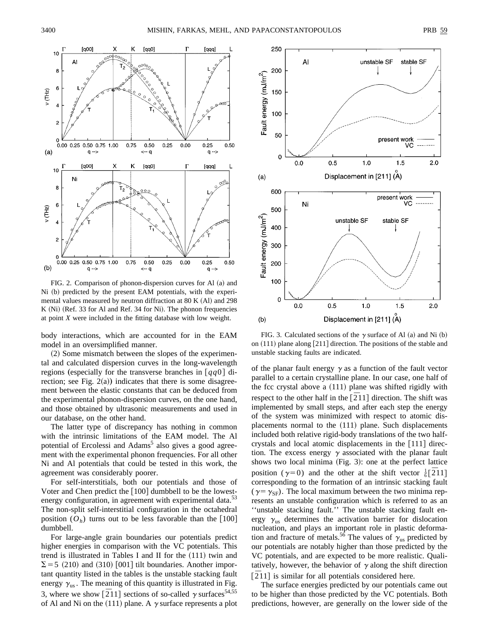



FIG. 2. Comparison of phonon-dispersion curves for Al (a) and Ni (b) predicted by the present EAM potentials, with the experimental values measured by neutron diffraction at  $80 K (Al)$  and  $298$ K  $(Ni)$  (Ref. 33 for Al and Ref. 34 for Ni). The phonon frequencies at point *X* were included in the fitting database with low weight.

body interactions, which are accounted for in the EAM model in an oversimplified manner.

 $(2)$  Some mismatch between the slopes of the experimental and calculated dispersion curves in the long-wavelength regions (especially for the transverse branches in  $\lceil qq0 \rceil$  direction; see Fig.  $2(a)$ ) indicates that there is some disagreement between the elastic constants that can be deduced from the experimental phonon-dispersion curves, on the one hand, and those obtained by ultrasonic measurements and used in our database, on the other hand.

The latter type of discrepancy has nothing in common with the intrinsic limitations of the EAM model. The Al potential of Ercolessi and Adams<sup>5</sup> also gives a good agreement with the experimental phonon frequencies. For all other Ni and Al potentials that could be tested in this work, the agreement was considerably poorer.

For self-interstitials, both our potentials and those of Voter and Chen predict the  $[100]$  dumbbell to be the lowestenergy configuration, in agreement with experimental data.<sup>53</sup> The non-split self-interstitial configuration in the octahedral position  $(O_h)$  turns out to be less favorable than the [100] dumbbell.

For large-angle grain boundaries our potentials predict higher energies in comparison with the VC potentials. This trend is illustrated in Tables I and II for the  $(111)$  twin and  $\Sigma$  = 5 (210) and (310) [001] tilt boundaries. Another important quantity listed in the tables is the unstable stacking fault energy  $\gamma_{us}$ . The meaning of this quantity is illustrated in Fig. 3, where we show  $[211]$  sections of so-called  $\gamma$  surfaces<sup>54,55</sup> of Al and Ni on the (111) plane. A  $\gamma$  surface represents a plot



FIG. 3. Calculated sections of the  $\gamma$  surface of Al (a) and Ni (b) on  $(111)$  plane along [211] direction. The positions of the stable and unstable stacking faults are indicated.

of the planar fault energy  $\gamma$  as a function of the fault vector parallel to a certain crystalline plane. In our case, one half of the fcc crystal above a  $(111)$  plane was shifted rigidly with respect to the other half in the  $\left[211\right]$  direction. The shift was implemented by small steps, and after each step the energy of the system was minimized with respect to atomic displacements normal to the (111) plane. Such displacements included both relative rigid-body translations of the two halfcrystals and local atomic displacements in the  $[111]$  direction. The excess energy  $\gamma$  associated with the planar fault shows two local minima  $(Fig. 3)$ : one at the perfect lattice position ( $\gamma = 0$ ) and the other at the shift vector  $\frac{1}{6}$ [211] corresponding to the formation of an intrinsic stacking fault ( $\gamma = \gamma_{\rm SF}$ ). The local maximum between the two minima represents an unstable configuration which is referred to as an ''unstable stacking fault.'' The unstable stacking fault energy  $\gamma_{\text{us}}$  determines the activation barrier for dislocation nucleation, and plays an important role in plastic deformation and fracture of metals.<sup>56</sup> The values of  $\gamma_{\text{us}}$  predicted by our potentials are notably higher than those predicted by the VC potentials, and are expected to be more realistic. Qualitatively, however, the behavior of  $\gamma$  along the shift direction **The construction** of the construction of the considered here.

The surface energies predicted by our potentials came out to be higher than those predicted by the VC potentials. Both predictions, however, are generally on the lower side of the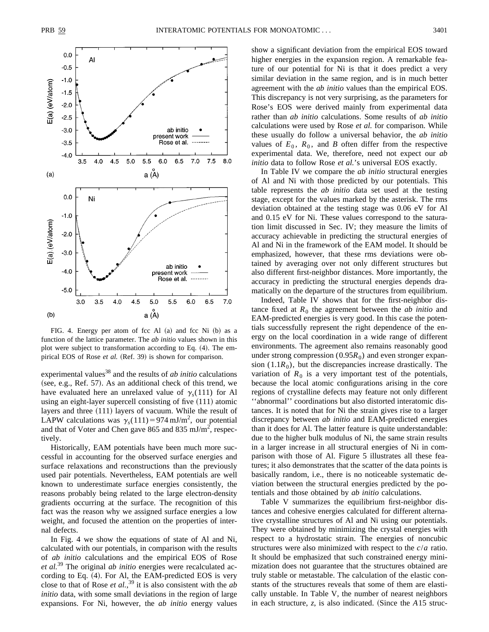

FIG. 4. Energy per atom of fcc Al  $(a)$  and fcc Ni  $(b)$  as a function of the lattice parameter. The *ab initio* values shown in this plot were subject to transformation according to Eq. (4). The empirical EOS of Rose *et al.* (Ref. 39) is shown for comparison.

experimental values<sup>38</sup> and the results of *ab initio* calculations (see, e.g., Ref. 57). As an additional check of this trend, we have evaluated here an unrelaxed value of  $\gamma_s(111)$  for Al using an eight-layer supercell consisting of five  $(111)$  atomic layers and three  $(111)$  layers of vacuum. While the result of LAPW calculations was  $\gamma_s(111) = 974 \text{ mJ/m}^2$ , our potential and that of Voter and Chen gave 865 and 835 mJ/m<sup>2</sup>, respectively.

Historically, EAM potentials have been much more successful in accounting for the observed surface energies and surface relaxations and reconstructions than the previously used pair potentials. Nevertheless, EAM potentials are well known to underestimate surface energies consistently, the reasons probably being related to the large electron-density gradients occurring at the surface. The recognition of this fact was the reason why we assigned surface energies a low weight, and focused the attention on the properties of internal defects.

In Fig. 4 we show the equations of state of Al and Ni, calculated with our potentials, in comparison with the results of *ab initio* calculations and the empirical EOS of Rose *et al.*<sup>39</sup> The original *ab initio* energies were recalculated according to Eq.  $(4)$ . For Al, the EAM-predicted EOS is very close to that of Rose *et al.*, <sup>39</sup> it is also consistent with the *ab initio* data, with some small deviations in the region of large expansions. For Ni, however, the *ab initio* energy values show a significant deviation from the empirical EOS toward higher energies in the expansion region. A remarkable feature of our potential for Ni is that it does predict a very similar deviation in the same region, and is in much better agreement with the *ab initio* values than the empirical EOS. This discrepancy is not very surprising, as the parameters for Rose's EOS were derived mainly from experimental data rather than *ab initio* calculations. Some results of *ab initio* calculations were used by Rose *et al.* for comparison. While these usually do follow a universal behavior, the *ab initio* values of  $E_0$ ,  $R_0$ , and *B* often differ from the respective experimental data. We, therefore, need not expect our *ab initio* data to follow Rose *et al.*'s universal EOS exactly.

In Table IV we compare the *ab initio* structural energies of Al and Ni with those predicted by our potentials. This table represents the *ab initio* data set used at the testing stage, except for the values marked by the asterisk. The rms deviation obtained at the testing stage was 0.06 eV for Al and 0.15 eV for Ni. These values correspond to the saturation limit discussed in Sec. IV; they measure the limits of accuracy achievable in predicting the structural energies of Al and Ni in the framework of the EAM model. It should be emphasized, however, that these rms deviations were obtained by averaging over not only different structures but also different first-neighbor distances. More importantly, the accuracy in predicting the structural energies depends dramatically on the departure of the structures from equilibrium.

Indeed, Table IV shows that for the first-neighbor distance fixed at  $R_0$  the agreement between the *ab initio* and EAM-predicted energies is very good. In this case the potentials successfully represent the right dependence of the energy on the local coordination in a wide range of different environments. The agreement also remains reasonably good under strong compression  $(0.95R_0)$  and even stronger expansion  $(1.1R_0)$ , but the discrepancies increase drastically. The variation of  $R_0$  is a very important test of the potentials, because the local atomic configurations arising in the core regions of crystalline defects may feature not only different ''abnormal'' coordinations but also distorted interatomic distances. It is noted that for Ni the strain gives rise to a larger discrepancy between *ab initio* and EAM-predicted energies than it does for Al. The latter feature is quite understandable: due to the higher bulk modulus of Ni, the same strain results in a larger increase in all structural energies of Ni in comparison with those of Al. Figure 5 illustrates all these features; it also demonstrates that the scatter of the data points is basically random, i.e., there is no noticeable systematic deviation between the structural energies predicted by the potentials and those obtained by *ab initio* calculations.

Table V summarizes the equilibrium first-neighbor distances and cohesive energies calculated for different alternative crystalline structures of Al and Ni using our potentials. They were obtained by minimizing the crystal energies with respect to a hydrostatic strain. The energies of noncubic structures were also minimized with respect to the *c*/*a* ratio. It should be emphasized that such constrained energy minimization does not guarantee that the structures obtained are truly stable or metastable. The calculation of the elastic constants of the structures reveals that some of them are elastically unstable. In Table V, the number of nearest neighbors in each structure,  $z$ , is also indicated. (Since the  $A15$  struc-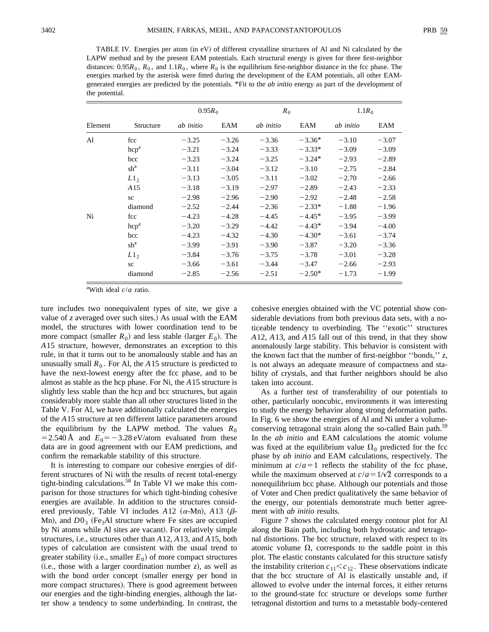TABLE IV. Energies per atom (in eV) of different crystalline structures of Al and Ni calculated by the LAPW method and by the present EAM potentials. Each structural energy is given for three first-neighbor distances:  $0.95R_0$ ,  $R_0$ , and  $1.1R_0$ , where  $R_0$  is the equilibrium first-neighbor distance in the fcc phase. The energies marked by the asterisk were fitted during the development of the EAM potentials, all other EAMgenerated energies are predicted by the potentials. \*Fit to the *ab initio* energy as part of the development of the potential.

|         |                         | $0.95R_0$ |         | $R_0$     |          | $1.1R_0$  |         |  |
|---------|-------------------------|-----------|---------|-----------|----------|-----------|---------|--|
| Element | Structure               | ab initio | EAM     | ab initio | EAM      | ab initio | EAM     |  |
| Al      | fcc                     | $-3.25$   | $-3.26$ | $-3.36$   | $-3.36*$ | $-3.10$   | $-3.07$ |  |
|         | $\text{hcp}^{\text{a}}$ | $-3.21$   | $-3.24$ | $-3.33$   | $-3.33*$ | $-3.09$   | $-3.09$ |  |
|         | bcc                     | $-3.23$   | $-3.24$ | $-3.25$   | $-3.24*$ | $-2.93$   | $-2.89$ |  |
|         | $\sh^a$                 | $-3.11$   | $-3.04$ | $-3.12$   | $-3.10$  | $-2.75$   | $-2.84$ |  |
|         | $L1_{2}$                | $-3.13$   | $-3.05$ | $-3.11$   | $-3.02$  | $-2.70$   | $-2.66$ |  |
|         | A <sub>15</sub>         | $-3.18$   | $-3.19$ | $-2.97$   | $-2.89$  | $-2.43$   | $-2.33$ |  |
|         | <b>SC</b>               | $-2.98$   | $-2.96$ | $-2.90$   | $-2.92$  | $-2.48$   | $-2.58$ |  |
|         | diamond                 | $-2.52$   | $-2.44$ | $-2.36$   | $-2.33*$ | $-1.88$   | $-1.96$ |  |
| Ni      | fcc                     | $-4.23$   | $-4.28$ | $-4.45$   | $-4.45*$ | $-3.95$   | $-3.99$ |  |
|         | $\text{hcp}^{\text{a}}$ | $-3.20$   | $-3.29$ | $-4.42$   | $-4.43*$ | $-3.94$   | $-4.00$ |  |
|         | bcc                     | $-4.23$   | $-4.32$ | $-4.30$   | $-4.30*$ | $-3.61$   | $-3.74$ |  |
|         | $sh^a$                  | $-3.99$   | $-3.91$ | $-3.90$   | $-3.87$  | $-3.20$   | $-3.36$ |  |
|         | $L1_{2}$                | $-3.84$   | $-3.76$ | $-3.75$   | $-3.78$  | $-3.01$   | $-3.28$ |  |
|         | <b>SC</b>               | $-3.66$   | $-3.61$ | $-3.44$   | $-3.47$  | $-2.66$   | $-2.93$ |  |
|         | diamond                 | $-2.85$   | $-2.56$ | $-2.51$   | $-2.50*$ | $-1.73$   | $-1.99$ |  |

a With ideal *c*/*a* ratio.

ture includes two nonequivalent types of site, we give a value of *z* averaged over such sites.) As usual with the EAM model, the structures with lower coordination tend to be more compact (smaller  $R_0$ ) and less stable (larger  $E_0$ ). The *A*15 structure, however, demonstrates an exception to this rule, in that it turns out to be anomalously stable and has an unusually small  $R_0$ . For Al, the *A*15 structure is predicted to have the next-lowest energy after the fcc phase, and to be almost as stable as the hcp phase. For Ni, the *A*15 structure is slightly less stable than the hcp and bcc structures, but again considerably more stable than all other structures listed in the Table V. For Al, we have additionally calculated the energies of the *A*15 structure at ten different lattice parameters around the equilibrium by the LAPW method. The values  $R_0$  $=$  2.540 Å and  $E_0$  =  $-$  3.28 eV/atom evaluated from these data are in good agreement with our EAM predictions, and confirm the remarkable stability of this structure.

It is interesting to compare our cohesive energies of different structures of Ni with the results of recent total-energy tight-binding calculations.<sup>58</sup> In Table VI we make this comparison for those structures for which tight-binding cohesive energies are available. In addition to the structures considered previously, Table VI includes  $A12 ~ (\alpha$ -Mn),  $A13 ~ (\beta$ -Mn), and  $D_3$  (Fe<sub>3</sub>Al structure where Fe sites are occupied by Ni atoms while Al sites are vacant). For relatively simple structures, i.e., structures other than *A*12, *A*13, and *A*15, both types of calculation are consistent with the usual trend to greater stability (i.e., smaller  $E_0$ ) of more compact structures  $(i.e., those with a larger coordination number z), as well as$ with the bond order concept (smaller energy per bond in more compact structures). There is good agreement between our energies and the tight-binding energies, although the latter show a tendency to some underbinding. In contrast, the cohesive energies obtained with the VC potential show considerable deviations from both previous data sets, with a noticeable tendency to overbinding. The ''exotic'' structures *A*12, *A*13, and *A*15 fall out of this trend, in that they show anomalously large stability. This behavior is consistent with the known fact that the number of first-neighbor ''bonds,'' *z*, is not always an adequate measure of compactness and stability of crystals, and that further neighbors should be also taken into account.

As a further test of transferability of our potentials to other, particularly noncubic, environments it was interesting to study the energy behavior along strong deformation paths. In Fig. 6 we show the energies of Al and Ni under a volumeconserving tetragonal strain along the so-called Bain path.<sup>59</sup> In the *ab initio* and EAM calculations the atomic volume was fixed at the equilibrium value  $\Omega_0$  predicted for the fcc phase by *ab initio* and EAM calculations, respectively. The minimum at  $c/a = 1$  reflects the stability of the fcc phase, while the maximum observed at  $c/a = 1/\sqrt{2}$  corresponds to a nonequilibrium bcc phase. Although our potentials and those of Voter and Chen predict qualitatively the same behavior of the energy, our potentials demonstrate much better agreement with *ab initio* results.

Figure 7 shows the calculated energy contour plot for Al along the Bain path, including both hydrostatic and tetragonal distortions. The bcc structure, relaxed with respect to its atomic volume  $\Omega$ , corresponds to the saddle point in this plot. The elastic constants calculated for this structure satisfy the instability criterion  $c_{11} < c_{12}$ . These observations indicate that the bcc structure of Al is elastically unstable and, if allowed to evolve under the internal forces, it either returns to the ground-state fcc structure or develops some further tetragonal distortion and turns to a metastable body-centered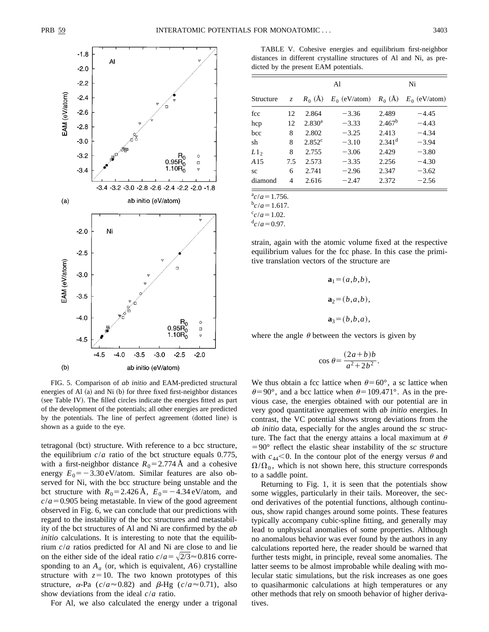

TABLE V. Cohesive energies and equilibrium first-neighbor distances in different crystalline structures of Al and Ni, as predicted by the present EAM potentials.

|           |             |                    | Al                        |                      | Ni              |  |  |
|-----------|-------------|--------------------|---------------------------|----------------------|-----------------|--|--|
| Structure | $Z_{\rm c}$ | $R_0$ (Å)          | $E_0$ (eV/atom) $R_0$ (Å) |                      | $E_0$ (eV/atom) |  |  |
| fcc       | 12          | 2.864              | $-3.36$                   | 2.489                | $-4.45$         |  |  |
| hcp       | 12          | 2.830 <sup>a</sup> | $-3.33$                   | 2.467 <sup>b</sup>   | $-4.43$         |  |  |
| bcc       | 8           | 2.802              | $-3.25$                   | 2.413                | $-4.34$         |  |  |
| sh        | 8           | $2.852^c$          | $-3.10$                   | $2.341$ <sup>d</sup> | $-3.94$         |  |  |
| $L1$ ,    | 8           | 2.755              | $-3.06$                   | 2.429                | $-3.80$         |  |  |
| A 15      | 7.5         | 2.573              | $-3.35$                   | 2.256                | $-4.30$         |  |  |
| SC        | 6           | 2.741              | $-2.96$                   | 2.347                | $-3.62$         |  |  |
| diamond   | 4           | 2.616              | $-2.47$                   | 2.372                | $-2.56$         |  |  |

 $a^a$ <sub>*c*</sub>/*a* = 1.756.

 $b_c/a = 1.617$ .

 $\frac{c}{c}$ /*a*=1.02.

 $\frac{d}{c}$  /*a* = 0.97.

strain, again with the atomic volume fixed at the respective equilibrium values for the fcc phase. In this case the primitive translation vectors of the structure are

> $a_1 = (a, b, b),$  $a_2=(b,a,b)$ ,  $a_3=(b,b,a)$ ,

where the angle  $\theta$  between the vectors is given by

$$
\cos \theta = \frac{(2a+b)b}{a^2 + 2b^2}.
$$

FIG. 5. Comparison of *ab initio* and EAM-predicted structural energies of Al  $(a)$  and Ni  $(b)$  for three fixed first-neighbor distances (see Table IV). The filled circles indicate the energies fitted as part of the development of the potentials; all other energies are predicted by the potentials. The line of perfect agreement (dotted line) is shown as a guide to the eye.

tetragonal (bct) structure. With reference to a bcc structure, the equilibrium  $c/a$  ratio of the bct structure equals 0.775, with a first-neighbor distance  $R_0 = 2.774 \text{ Å}$  and a cohesive energy  $E_0 = -3.30 \text{ eV/atom}$ . Similar features are also observed for Ni, with the bcc structure being unstable and the bct structure with  $R_0 = 2.426 \text{ Å}$ ,  $E_0 = -4.34 \text{ eV/atom}$ , and  $c/a = 0.905$  being metastable. In view of the good agreement observed in Fig. 6, we can conclude that our predictions with regard to the instability of the bcc structures and metastability of the bct structures of Al and Ni are confirmed by the *ab initio* calculations. It is interesting to note that the equilibrium *c*/*a* ratios predicted for Al and Ni are close to and lie on the either side of the ideal ratio  $c/a = \sqrt{2/3} \approx 0.816$  corresponding to an  $A_a$  (or, which is equivalent,  $A_6$ ) crystalline structure with  $z=10$ . The two known prototypes of this structure,  $\alpha$ -Pa ( $c/a \approx 0.82$ ) and  $\beta$ -Hg ( $c/a \approx 0.71$ ), also show deviations from the ideal *c*/*a* ratio.

For Al, we also calculated the energy under a trigonal

We thus obtain a fcc lattice when  $\theta$ =60°, a sc lattice when  $\theta$ =90°, and a bcc lattice when  $\theta$ =109.471°. As in the previous case, the energies obtained with our potential are in very good quantitative agreement with *ab initio* energies. In contrast, the VC potential shows strong deviations from the *ab initio* data, especially for the angles around the *sc* structure. The fact that the energy attains a local maximum at  $\theta$  $=90^\circ$  reflect the elastic shear instability of the *sc* structure with  $c_{44}$ <0. In the contour plot of the energy versus  $\theta$  and  $\Omega/\Omega_0$ , which is not shown here, this structure corresponds to a saddle point.

Returning to Fig. 1, it is seen that the potentials show some wiggles, particularly in their tails. Moreover, the second derivatives of the potential functions, although continuous, show rapid changes around some points. These features typically accompany cubic-spline fitting, and generally may lead to unphysical anomalies of some properties. Although no anomalous behavior was ever found by the authors in any calculations reported here, the reader should be warned that further tests might, in principle, reveal some anomalies. The latter seems to be almost improbable while dealing with molecular static simulations, but the risk increases as one goes to quasiharmonic calculations at high temperatures or any other methods that rely on smooth behavior of higher derivatives.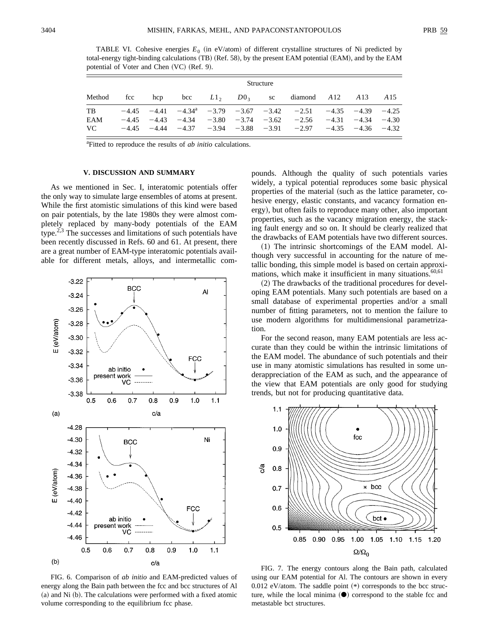TABLE VI. Cohesive energies  $E_0$  (in eV/atom) of different crystalline structures of Ni predicted by total-energy tight-binding calculations (TB) (Ref. 58), by the present EAM potential (EAM), and by the EAM potential of Voter and Chen  $(VC)$  (Ref. 9).

|        | Structure |     |     |                    |  |  |                                                                                      |  |                 |         |
|--------|-----------|-----|-----|--------------------|--|--|--------------------------------------------------------------------------------------|--|-----------------|---------|
| Method | fcc       | hcp | bcc | $L1_2$ , $D0_3$ sc |  |  | diamond $A12$ $A13$                                                                  |  |                 | A 15    |
| TB     |           |     |     |                    |  |  | $-4.45$ $-4.41$ $-4.34$ <sup>a</sup> $-3.79$ $-3.67$ $-3.42$ $-2.51$ $-4.35$ $-4.39$ |  |                 | $-4.25$ |
| EAM    | $-4.45$   |     |     |                    |  |  | $-4.43$ $-4.34$ $-3.80$ $-3.74$ $-3.62$ $-2.56$ $-4.31$                              |  | $-4.34$ $-4.30$ |         |
| VC.    |           |     |     |                    |  |  | $-4.45$ $-4.44$ $-4.37$ $-3.94$ $-3.88$ $-3.91$ $-2.97$ $-4.35$ $-4.36$ $-4.32$      |  |                 |         |

<sup>a</sup>Fitted to reproduce the results of *ab initio* calculations.

### **V. DISCUSSION AND SUMMARY**

As we mentioned in Sec. I, interatomic potentials offer the only way to simulate large ensembles of atoms at present. While the first atomistic simulations of this kind were based on pair potentials, by the late 1980s they were almost completely replaced by many-body potentials of the EAM type. $2,3$  The successes and limitations of such potentials have been recently discussed in Refs. 60 and 61. At present, there are a great number of EAM-type interatomic potentials available for different metals, alloys, and intermetallic com-



FIG. 6. Comparison of *ab initio* and EAM-predicted values of energy along the Bain path between the fcc and bcc structures of Al  $(a)$  and Ni  $(b)$ . The calculations were performed with a fixed atomic volume corresponding to the equilibrium fcc phase.

pounds. Although the quality of such potentials varies widely, a typical potential reproduces some basic physical properties of the material (such as the lattice parameter, cohesive energy, elastic constants, and vacancy formation energy), but often fails to reproduce many other, also important properties, such as the vacancy migration energy, the stacking fault energy and so on. It should be clearly realized that the drawbacks of EAM potentials have two different sources.

 $(1)$  The intrinsic shortcomings of the EAM model. Although very successful in accounting for the nature of metallic bonding, this simple model is based on certain approximations, which make it insufficient in many situations. $60,61$ 

 $(2)$  The drawbacks of the traditional procedures for developing EAM potentials. Many such potentials are based on a small database of experimental properties and/or a small number of fitting parameters, not to mention the failure to use modern algorithms for multidimensional parametrization.

For the second reason, many EAM potentials are less accurate than they could be within the intrinsic limitations of the EAM model. The abundance of such potentials and their use in many atomistic simulations has resulted in some underappreciation of the EAM as such, and the appearance of the view that EAM potentials are only good for studying trends, but not for producing quantitative data.



FIG. 7. The energy contours along the Bain path, calculated using our EAM potential for Al. The contours are shown in every  $0.012$  eV/atom. The saddle point  $(*)$  corresponds to the bcc structure, while the local minima  $(\bullet)$  correspond to the stable fcc and metastable bct structures.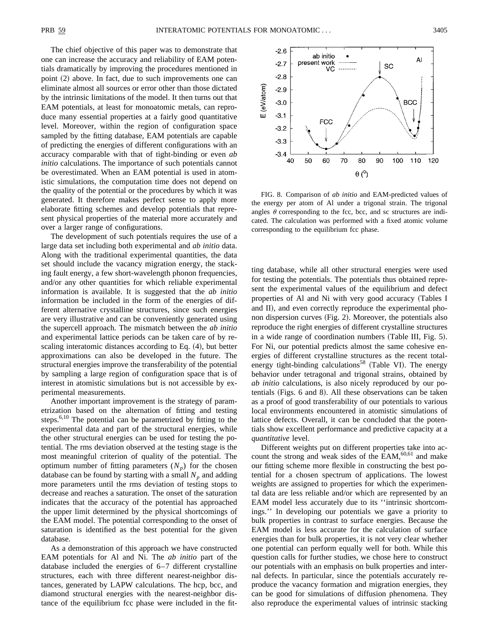The chief objective of this paper was to demonstrate that one can increase the accuracy and reliability of EAM potentials dramatically by improving the procedures mentioned in point  $(2)$  above. In fact, due to such improvements one can eliminate almost all sources or error other than those dictated by the intrinsic limitations of the model. It then turns out that EAM potentials, at least for monoatomic metals, can reproduce many essential properties at a fairly good quantitative level. Moreover, within the region of configuration space sampled by the fitting database, EAM potentials are capable of predicting the energies of different configurations with an accuracy comparable with that of tight-binding or even *ab initio* calculations. The importance of such potentials cannot be overestimated. When an EAM potential is used in atomistic simulations, the computation time does not depend on the quality of the potential or the procedures by which it was generated. It therefore makes perfect sense to apply more elaborate fitting schemes and develop potentials that represent physical properties of the material more accurately and over a larger range of configurations.

The development of such potentials requires the use of a large data set including both experimental and *ab initio* data. Along with the traditional experimental quantities, the data set should include the vacancy migration energy, the stacking fault energy, a few short-wavelength phonon frequencies, and/or any other quantities for which reliable experimental information is available. It is suggested that the *ab initio* information be included in the form of the energies of different alternative crystalline structures, since such energies are very illustrative and can be conveniently generated using the supercell approach. The mismatch between the *ab initio* and experimental lattice periods can be taken care of by rescaling interatomic distances according to Eq.  $(4)$ , but better approximations can also be developed in the future. The structural energies improve the transferability of the potential by sampling a large region of configuration space that is of interest in atomistic simulations but is not accessible by experimental measurements.

Another important improvement is the strategy of parametrization based on the alternation of fitting and testing steps.<sup>6,10</sup> The potential can be parametrized by fitting to the experimental data and part of the structural energies, while the other structural energies can be used for testing the potential. The rms deviation observed at the testing stage is the most meaningful criterion of quality of the potential. The optimum number of fitting parameters  $(N_p)$  for the chosen database can be found by starting with a small  $N_p$  and adding more parameters until the rms deviation of testing stops to decrease and reaches a saturation. The onset of the saturation indicates that the accuracy of the potential has approached the upper limit determined by the physical shortcomings of the EAM model. The potential corresponding to the onset of saturation is identified as the best potential for the given database.

As a demonstration of this approach we have constructed EAM potentials for Al and Ni. The *ab initio* part of the database included the energies of 6–7 different crystalline structures, each with three different nearest-neighbor distances, generated by LAPW calculations. The hcp, bcc, and diamond structural energies with the nearest-neighbor distance of the equilibrium fcc phase were included in the fit-



FIG. 8. Comparison of *ab initio* and EAM-predicted values of the energy per atom of Al under a trigonal strain. The trigonal angles  $\theta$  corresponding to the fcc, bcc, and sc structures are indicated. The calculation was performed with a fixed atomic volume corresponding to the equilibrium fcc phase.

ting database, while all other structural energies were used for testing the potentials. The potentials thus obtained represent the experimental values of the equilibrium and defect properties of Al and Ni with very good accuracy (Tables I and II), and even correctly reproduce the experimental phonon dispersion curves  $(Fig. 2)$ . Moreover, the potentials also reproduce the right energies of different crystalline structures in a wide range of coordination numbers  $(Table III, Fig. 5)$ . For Ni, our potential predicts almost the same cohesive energies of different crystalline structures as the recent totalenergy tight-binding calculations<sup>58</sup> (Table VI). The energy behavior under tetragonal and trigonal strains, obtained by *ab initio* calculations, is also nicely reproduced by our potentials (Figs.  $6$  and  $8$ ). All these observations can be taken as a proof of good transferability of our potentials to various local environments encountered in atomistic simulations of lattice defects. Overall, it can be concluded that the potentials show excellent performance and predictive capacity at a *quantitative* level.

Different weights put on different properties take into account the strong and weak sides of the EAM, $60,61$  and make our fitting scheme more flexible in constructing the best potential for a chosen spectrum of applications. The lowest weights are assigned to properties for which the experimental data are less reliable and/or which are represented by an EAM model less accurately due to its ''intrinsic shortcomings.'' In developing our potentials we gave a priority to bulk properties in contrast to surface energies. Because the EAM model is less accurate for the calculation of surface energies than for bulk properties, it is not very clear whether one potential can perform equally well for both. While this question calls for further studies, we chose here to construct our potentials with an emphasis on bulk properties and internal defects. In particular, since the potentials accurately reproduce the vacancy formation and migration energies, they can be good for simulations of diffusion phenomena. They also reproduce the experimental values of intrinsic stacking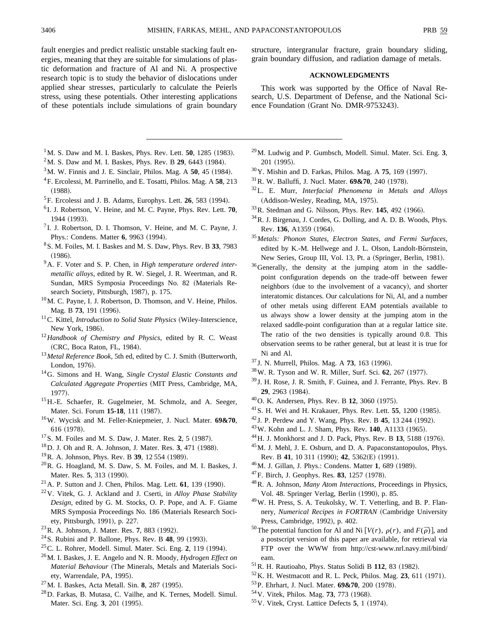fault energies and predict realistic unstable stacking fault energies, meaning that they are suitable for simulations of plastic deformation and fracture of Al and Ni. A prospective research topic is to study the behavior of dislocations under applied shear stresses, particularly to calculate the Peierls stress, using these potentials. Other interesting applications of these potentials include simulations of grain boundary

structure, intergranular fracture, grain boundary sliding, grain boundary diffusion, and radiation damage of metals.

## **ACKNOWLEDGMENTS**

This work was supported by the Office of Naval Research, U.S. Department of Defense, and the National Science Foundation (Grant No. DMR-9753243).

- $1^1$ M. S. Daw and M. I. Baskes, Phys. Rev. Lett. **50**, 1285 (1983).
- $2^2$ M. S. Daw and M. I. Baskes, Phys. Rev. B 29, 6443 (1984).
- $3^3$ M. W. Finnis and J. E. Sinclair, Philos. Mag. A  $50$ , 45 (1984).
- 4F. Ercolessi, M. Parrinello, and E. Tosatti, Philos. Mag. A **58**, 213  $(1988).$
- ${}^{5}$ F. Ercolessi and J. B. Adams, Europhys. Lett. **26**, 583 (1994).
- <sup>6</sup> I. J. Robertson, V. Heine, and M. C. Payne, Phys. Rev. Lett. **70**, 1944 (1993).
- ${}^{7}$ I. J. Robertson, D. I. Thomson, V. Heine, and M. C. Payne, J. Phys.: Condens. Matter 6, 9963 (1994).
- 8S. M. Foiles, M. I. Baskes and M. S. Daw, Phys. Rev. B **33**, 7983  $(1986).$
- 9A. F. Voter and S. P. Chen, in *High temperature ordered intermetallic alloys*, edited by R. W. Siegel, J. R. Weertman, and R. Sundan, MRS Symposia Proceedings No. 82 (Materials Research Society, Pittsburgh, 1987), p. 175.
- <sup>10</sup>M. C. Payne, I. J. Robertson, D. Thomson, and V. Heine, Philos. Mag. B 73, 191 (1996).
- $11$ C. Kittel, *Introduction to Solid State Physics* (Wiley-Interscience, New York, 1986).
- <sup>12</sup>*Handbook of Chemistry and Physics*, edited by R. C. Weast (CRC, Boca Raton, FL, 1984).
- <sup>13</sup> Metal Reference Book, 5th ed, edited by C. J. Smith (Butterworth, London, 1976).
- 14G. Simons and H. Wang, *Single Crystal Elastic Constants and Calculated Aggregate Properties* (MIT Press, Cambridge, MA, 1977).
- <sup>15</sup>H.-E. Schaefer, R. Gugelmeier, M. Schmolz, and A. Seeger, Mater. Sci. Forum 15-18, 111 (1987).
- 16W. Wycisk and M. Feller-Kniepmeier, J. Nucl. Mater. **69&70**, 616 (1978).
- <sup>17</sup> S. M. Foiles and M. S. Daw, J. Mater. Res. 2, 5 (1987).
- <sup>18</sup> D. J. Oh and R. A. Johnson, J. Mater. Res. 3, 471 (1988).
- <sup>19</sup>R. A. Johnson, Phys. Rev. B **39**, 12 554 (1989).
- $^{20}$ R. G. Hoagland, M. S. Daw, S. M. Foiles, and M. I. Baskes, J. Mater. Res. 5, 313 (1990).
- $^{21}$  A. P. Sutton and J. Chen, Philos. Mag. Lett.  $61$ , 139 (1990).
- 22V. Vitek, G. J. Ackland and J. Cserti, in *Alloy Phase Stability Design*, edited by G. M. Stocks, O. P. Pope, and A. F. Giame MRS Symposia Proceedings No. 186 (Materials Research Society, Pittsburgh, 1991), p. 227.
- <sup>23</sup> R. A. Johnson, J. Mater. Res. 7, 883 (1992).
- <sup>24</sup> S. Rubini and P. Ballone, Phys. Rev. B **48**, 99 (1993).
- <sup>25</sup> C. L. Rohrer, Modell. Simul. Mater. Sci. Eng. 2, 119 (1994).
- 26M. I. Baskes, J. E. Angelo and N. R. Moody, *Hydrogen Effect on Material Behaviour* (The Minerals, Metals and Materials Society, Warrendale, PA, 1995).
- <sup>27</sup> M. I. Baskes, Acta Metall. Sin. **8**, 287 (1995).
- 28D. Farkas, B. Mutasa, C. Vailhe, and K. Ternes, Modell. Simul. Mater. Sci. Eng. 3, 201 (1995).
- 29M. Ludwig and P. Gumbsch, Modell. Simul. Mater. Sci. Eng. **3**, 201 (1995).
- <sup>30</sup>Y. Mishin and D. Farkas, Philos. Mag. A **75**, 169 (1997).
- $^{31}$ R. W. Balluffi, J. Nucl. Mater. **69&70**, 240 (1978).
- 32L. E. Murr, *Interfacial Phenomena in Metals and Alloys* (Addison-Wesley, Reading, MA, 1975).
- <sup>33</sup>R. Stedman and G. Nilsson, Phys. Rev. **145**, 492 (1966).
- 34R. J. Birgenau, J. Cordes, G. Dolling, and A. D. B. Woods, Phys. Rev. 136, A1359 (1964).
- <sup>35</sup>*Metals: Phonon States, Electron States, and Fermi Surfaces*, edited by K.-M. Hellwege and J. L. Olson, Landolt-Börnstein, New Series, Group III, Vol. 13, Pt. a (Springer, Berlin, 1981).
- <sup>36</sup>Generally, the density at the jumping atom in the saddlepoint configuration depends on the trade-off between fewer neighbors (due to the involvement of a vacancy), and shorter interatomic distances. Our calculations for Ni, Al, and a number of other metals using different EAM potentials available to us always show a lower density at the jumping atom in the relaxed saddle-point configuration than at a regular lattice site. The ratio of the two densities is typically around 0.8. This observation seems to be rather general, but at least it is true for Ni and Al.
- <sup>37</sup> J. N. Murrell, Philos. Mag. A **73**, 163 (1996).
- $38$ W. R. Tyson and W. R. Miller, Surf. Sci. 62, 267  $(1977)$ .
- <sup>39</sup> J. H. Rose, J. R. Smith, F. Guinea, and J. Ferrante, Phys. Rev. B **29**, 2963 (1984).
- <sup>40</sup> O. K. Andersen, Phys. Rev. B **12**, 3060 (1975).
- $^{41}$  S. H. Wei and H. Krakauer, Phys. Rev. Lett. **55**, 1200 (1985).
- <sup>42</sup> J. P. Perdew and Y. Wang, Phys. Rev. B **45**, 13 244 (1992).
- <sup>43</sup>W. Kohn and L. J. Sham, Phys. Rev. **140**, A1133 (1965).
- <sup>44</sup> H. J. Monkhorst and J. D. Pack, Phys. Rev. B **13**, 5188 (1976).
- 45M. J. Mehl, J. E. Osburn, and D. A. Papaconstantopoulos, Phys. Rev. B 41, 10 311 (1990); 42, 5362(E) (1991).
- <sup>46</sup> M. J. Gillan, J. Phys.: Condens. Matter 1, 689 (1989).
- <sup>47</sup>F. Birch, J. Geophys. Res. **83**, 1257 (1978).
- 48R. A. Johnson, *Many Atom Interactions*, Proceedings in Physics, Vol. 48. Springer Verlag, Berlin (1990), p. 85.
- 49W. H. Press, S. A. Teukolsky, W. T. Vetterling, and B. P. Flannery, *Numerical Recipes in FORTRAN* (Cambridge University Press, Cambridge, 1992), p. 402.
- <sup>50</sup>The potential function for Al and Ni  $[V(r), \rho(r), \text{ and } F(\overline{\rho})]$ , and a postscript version of this paper are available, for retrieval via FTP over the WWW from http://cst-www.nrl.navy.mil/bind/ eam.
- <sup>51</sup> R. H. Rautioaho, Phys. Status Solidi B 112, 83 (1982).
- $52$  K. H. Westmacott and R. L. Peck, Philos. Mag. 23, 611 (1971).
- <sup>53</sup> P. Ehrhart, J. Nucl. Mater. **69&70**, 200 (1978).
- <sup>54</sup> V. Vitek, Philos. Mag. **73**, 773 (1968).
- <sup>55</sup>V. Vitek, Cryst. Lattice Defects **5**, 1 (1974).